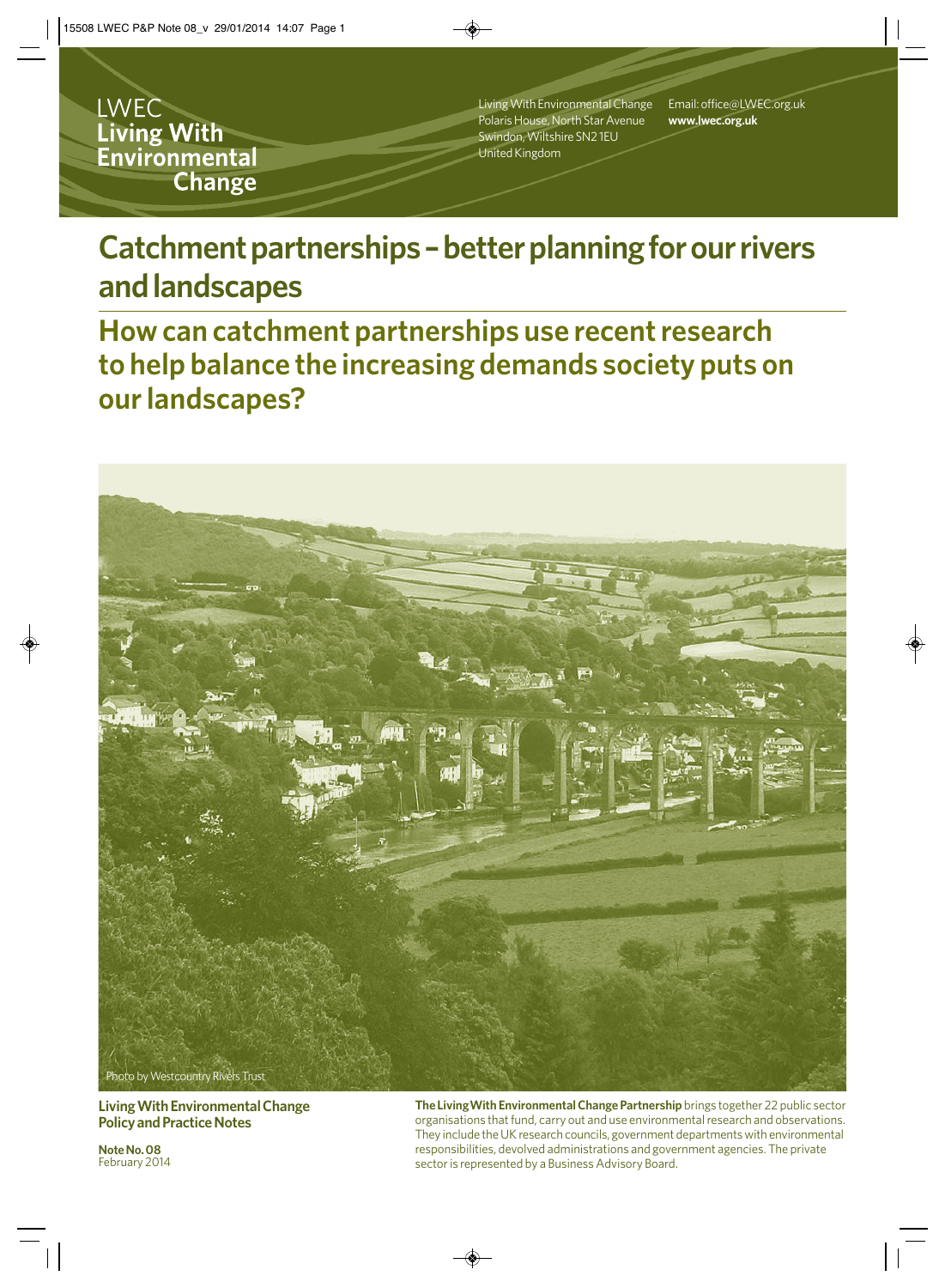**LWEC** Living With Environmental **Change** 

Living With Environmental Change Polaris House, North Star Avenue Swindon, Wiltshire SN2 1EU United Kingdom

Email: office@LWEC.org.uk **www.lwec.org.uk**

# Catchment partnerships - better planning for our rivers **and landscapes**

**How can catchment partnerships use recent research to help balance the increasing demands society puts on our landscapes?**



**Living With Environmental Change Policy and Practice Notes**

**Note No. 08**  February 2014 **The LivingWith Environmental Change Partnership** brings together 22 public sector organisations that fund, carry out and use environmental research and observations. They include the UK research councils, government departments with environmental responsibilities, devolved administrations and government agencies. The private sector is represented by a Business Advisory Board.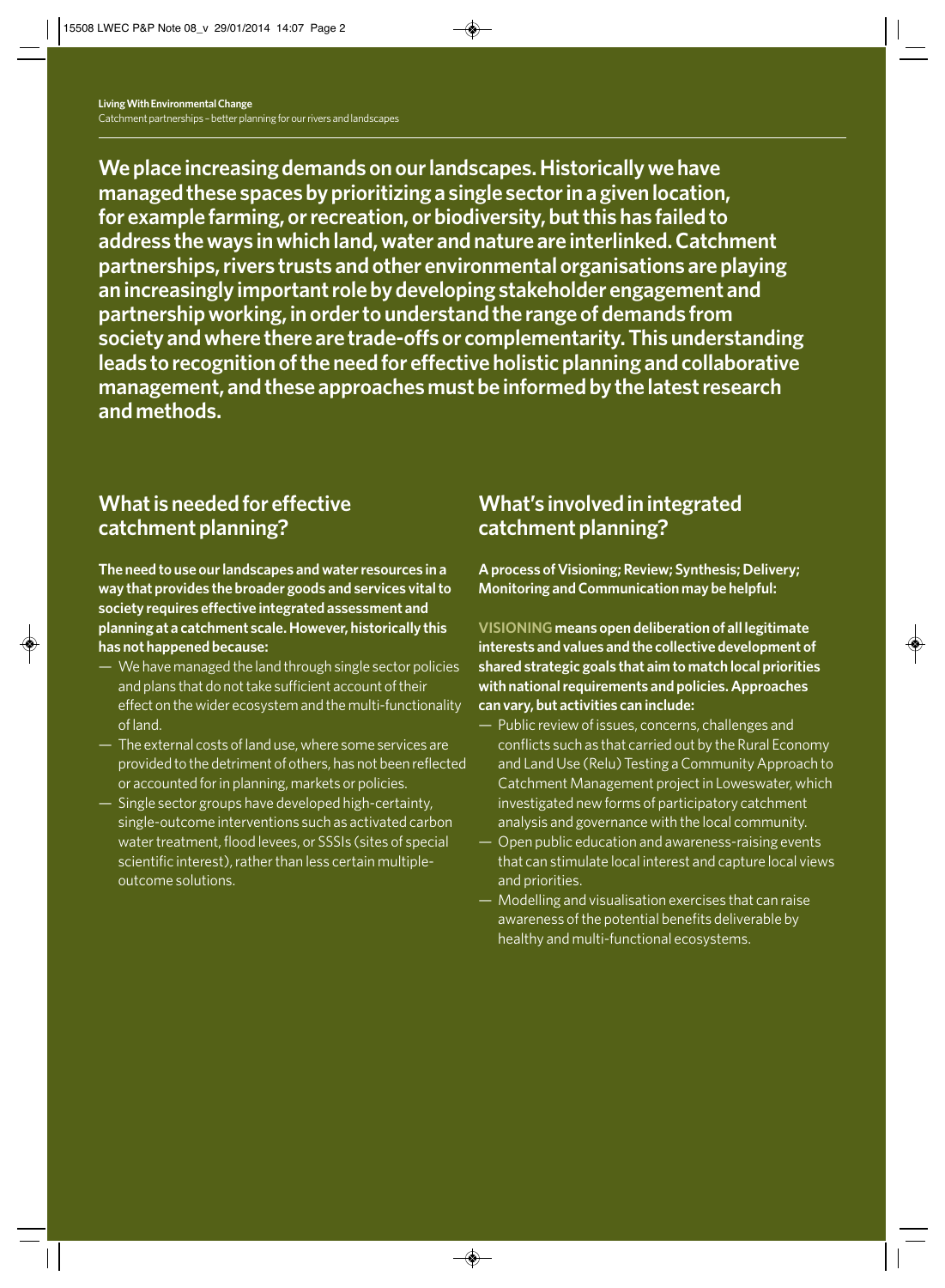**We place increasing demands on our landscapes. Historically we have managed these spaces by prioritizing a single sector in a given location, for example farming, or recreation, or biodiversity, but this has failed to address the ways in which land, water and nature are interlinked. Catchment partnerships, rivers trusts and other environmental organisations are playing an increasingly important role by developing stakeholder engagement and partnership working, in order to understand the range of demands from society and where there are trade-offs or complementarity. This understanding leads to recognition of the need for effective holistic planning and collaborative management, and these approaches must be informed by the latest research and methods.** 

### **What is needed for effective catchment planning?**

**The need to use our landscapes and water resources in a way that provides the broader goods and services vital to society requires effective integrated assessment and planning at a catchment scale. However, historically this has not happened because:**

- We have managed the land through single sector policies and plans that do not take sufficient account of their effect on the wider ecosystem and the multi-functionality of land.
- The external costs of land use, where some services are provided to the detriment of others, has not been reflected or accounted for in planning, markets or policies.
- Single sector groups have developed high-certainty, single-outcome interventions such as activated carbon water treatment, flood levees, or SSSIs (sites of special scientific interest), rather than less certain multipleoutcome solutions.

### **What's involved in integrated catchment planning?**

**A process of Visioning; Review; Synthesis; Delivery; Monitoring and Communication may be helpful:**

**VISIONING means open deliberation of all legitimate interests and values and the collective development of shared strategic goals that aim to match local priorities with national requirements and policies. Approaches can vary, but activities can include:**

- Public review of issues, concerns, challenges and conflicts such as that carried out by the Rural Economy and Land Use (Relu) Testing a Community Approach to Catchment Management project in Loweswater, which investigated new forms of participatory catchment analysis and governance with the local community.
- Open public education and awareness-raising events that can stimulate local interest and capture local views and priorities.
- Modelling and visualisation exercises that can raise awareness of the potential benefits deliverable by healthy and multi-functional ecosystems.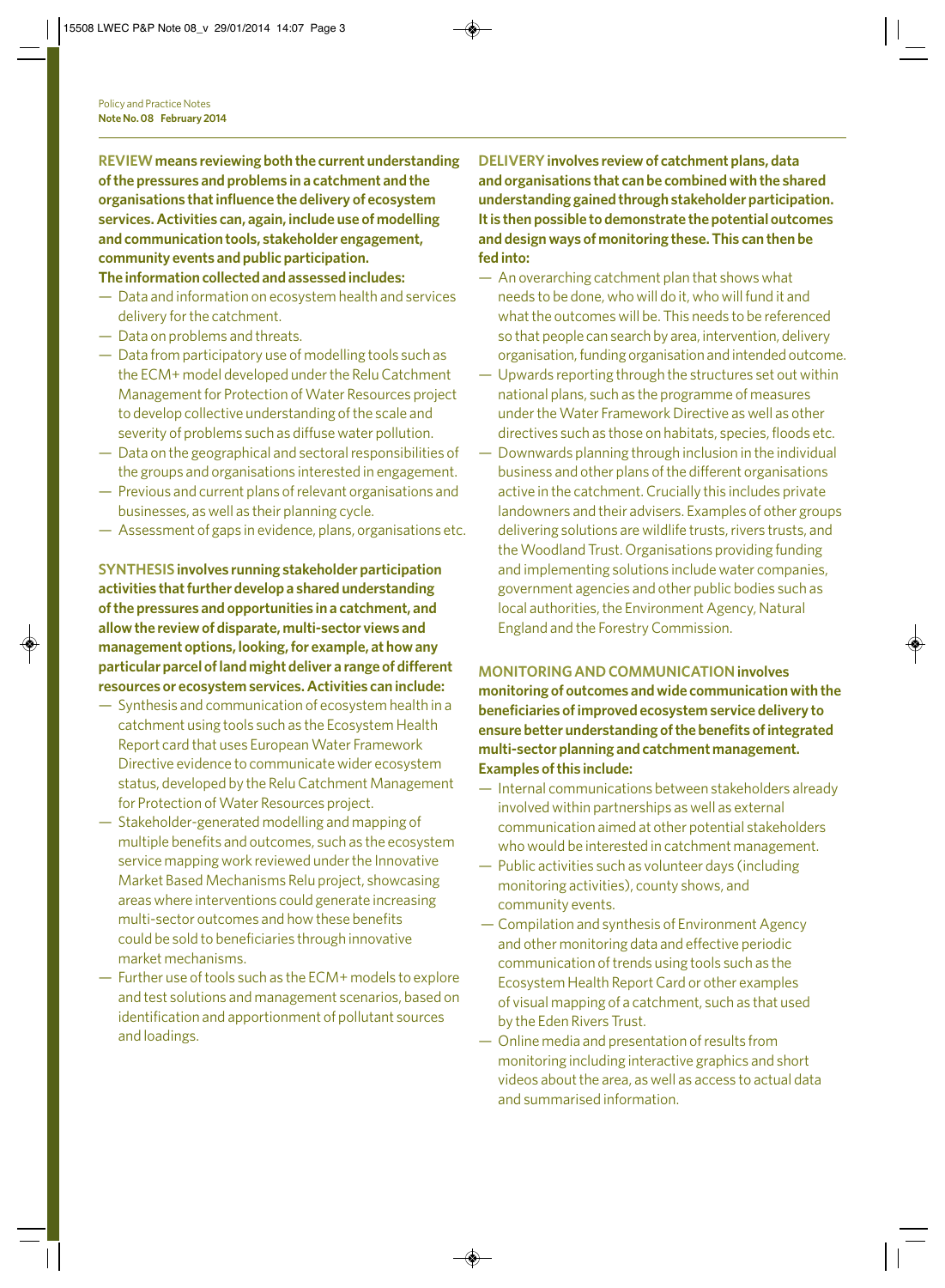**REVIEWmeans reviewing both the current understanding of the pressures and problems in a catchment and the organisations that influence the delivery of ecosystem services. Activities can, again, include use of modelling and communication tools, stakeholder engagement, community events and public participation.** 

#### **The information collected and assessed includes:**

- Data and information on ecosystem health and services delivery for the catchment.
- Data on problems and threats.
- Data from participatory use of modelling tools such as the ECM+ model developed under the Relu Catchment Management for Protection of Water Resources project to develop collective understanding of the scale and severity of problems such as diffuse water pollution.
- Data on the geographical and sectoral responsibilities of the groups and organisations interested in engagement.
- Previous and current plans of relevant organisations and businesses, as well as their planning cycle.
- Assessment of gaps in evidence, plans, organisations etc.

**SYNTHESIS involves running stakeholder participation activities that further develop a shared understanding of the pressures and opportunities in a catchment, and allow the review of disparate, multi-sector views and management options, looking, for example, at how any particular parcel of land might deliver a range of different resources or ecosystem services. Activities can include:**

- Synthesis and communication of ecosystem health in a catchment using tools such as the Ecosystem Health Report card that uses European Water Framework Directive evidence to communicate wider ecosystem status, developed by the Relu Catchment Management for Protection of Water Resources project.
- Stakeholder-generated modelling and mapping of multiple benefits and outcomes, such as the ecosystem service mapping work reviewed under the Innovative Market Based Mechanisms Relu project, showcasing areas where interventions could generate increasing multi-sector outcomes and how these benefits could be sold to beneficiaries through innovative market mechanisms.
- Further use of tools such as the ECM+ models to explore and test solutions and management scenarios, based on identification and apportionment of pollutant sources and loadings.

**DELIVERYinvolves review of catchment plans, data and organisations that can be combined with the shared understanding gained through stakeholder participation. It is then possible to demonstrate the potential outcomes and design ways of monitoring these. This can then be fed into:**

- An overarching catchment plan that shows what needs to be done, who will do it, who will fund it and what the outcomes will be. This needs to be referenced so that people can search by area, intervention, delivery organisation, funding organisation and intended outcome.
- Upwards reporting through the structures set out within national plans, such as the programme of measures under the Water Framework Directive as well as other directives such as those on habitats, species, floods etc.
- Downwards planning through inclusion in the individual business and other plans of the different organisations active in the catchment. Crucially this includes private landowners and their advisers. Examples of other groups delivering solutions are wildlife trusts, rivers trusts, and the Woodland Trust. Organisations providing funding and implementing solutions include water companies, government agencies and other public bodies such as local authorities, the Environment Agency, Natural England and the Forestry Commission.

**MONITORING AND COMMUNICATIONinvolves monitoring of outcomes and wide communication with the beneficiaries of improved ecosystem service delivery to ensure better understanding of the benefits of integrated multi-sector planning and catchment management. Examples of this include:**

- Internal communications between stakeholders already involved within partnerships as well as external communication aimed at other potential stakeholders who would be interested in catchment management.
- Public activities such as volunteer days (including monitoring activities), county shows, and community events.
- Compilation and synthesis of Environment Agency and other monitoring data and effective periodic communication of trends using tools such as the Ecosystem Health Report Card or other examples of visual mapping of a catchment, such as that used by the Eden Rivers Trust.
- Online media and presentation of results from monitoring including interactive graphics and short videos about the area, as well as access to actual data and summarised information.